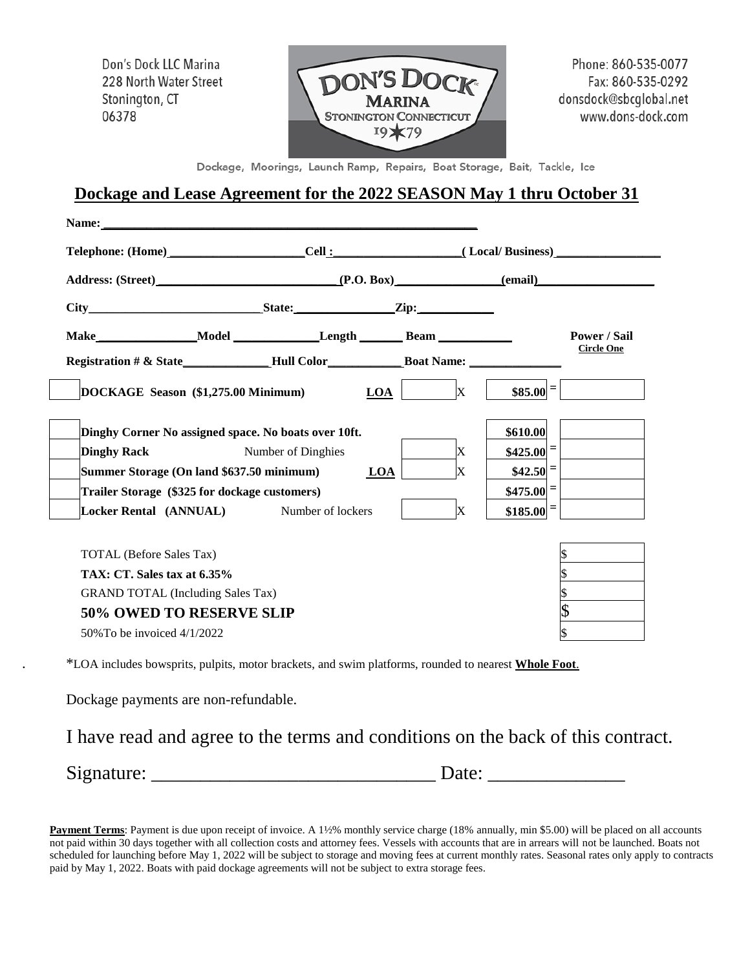Don's Dock LLC Marina 228 North Water Street Stonington, CT 06378



Phone: 860-535-0077 Fax: 860-535-0292 donsdock@sbcglobal.net www.dons-dock.com

Dockage, Moorings, Launch Ramp, Repairs, Boat Storage, Bait, Tackle, Ice

## **Dockage and Lease Agreement for the 2022 SEASON May 1 thru October 31**

|                                                                                   |  | Telephone: (Home) ________________________Cell :_____________________( Local/ Business)_______________________ |   |                       |                        |                   |  |
|-----------------------------------------------------------------------------------|--|----------------------------------------------------------------------------------------------------------------|---|-----------------------|------------------------|-------------------|--|
|                                                                                   |  |                                                                                                                |   |                       |                        |                   |  |
|                                                                                   |  |                                                                                                                |   |                       |                        |                   |  |
| Make_________________Model ________________Length _______________________________ |  |                                                                                                                |   |                       |                        | Power / Sail      |  |
| Registration # & State________________Hull Color_________________________________ |  |                                                                                                                |   |                       |                        | <b>Circle One</b> |  |
| DOCKAGE Season (\$1,275.00 Minimum)                                               |  |                                                                                                                |   | $\mathbf X$<br>LOA    | $$85.00 =$             |                   |  |
| Dinghy Corner No assigned space. No boats over 10ft.                              |  |                                                                                                                |   |                       | \$610.00               |                   |  |
| <b>Dinghy Rack</b>                                                                |  | <b>Number of Dinghies</b>                                                                                      |   | X                     | $$425.00 =$            |                   |  |
| Summer Storage (On land \$637.50 minimum)                                         |  | LOA                                                                                                            | X | $$42.50$ <sup>=</sup> |                        |                   |  |
| Trailer Storage (\$325 for dockage customers)                                     |  |                                                                                                                |   |                       | $$475.00$ <sup>=</sup> |                   |  |
| Locker Rental (ANNUAL) Number of lockers                                          |  |                                                                                                                |   | X                     | $$185.00 =$            |                   |  |

. \*LOA includes bowsprits, pulpits, motor brackets, and swim platforms, rounded to nearest **Whole Foot**.

Dockage payments are non-refundable.

I have read and agree to the terms and conditions on the back of this contract.

Signature: \_\_\_\_\_\_\_\_\_\_\_\_\_\_\_\_\_\_\_\_\_\_\_\_\_\_\_\_\_ Date: \_\_\_\_\_\_\_\_\_\_\_\_\_\_

**Payment Terms**: Payment is due upon receipt of invoice. A 1½% monthly service charge (18% annually, min \$5.00) will be placed on all accounts not paid within 30 days together with all collection costs and attorney fees. Vessels with accounts that are in arrears will not be launched. Boats not scheduled for launching before May 1, 2022 will be subject to storage and moving fees at current monthly rates. Seasonal rates only apply to contracts paid by May 1, 2022. Boats with paid dockage agreements will not be subject to extra storage fees.